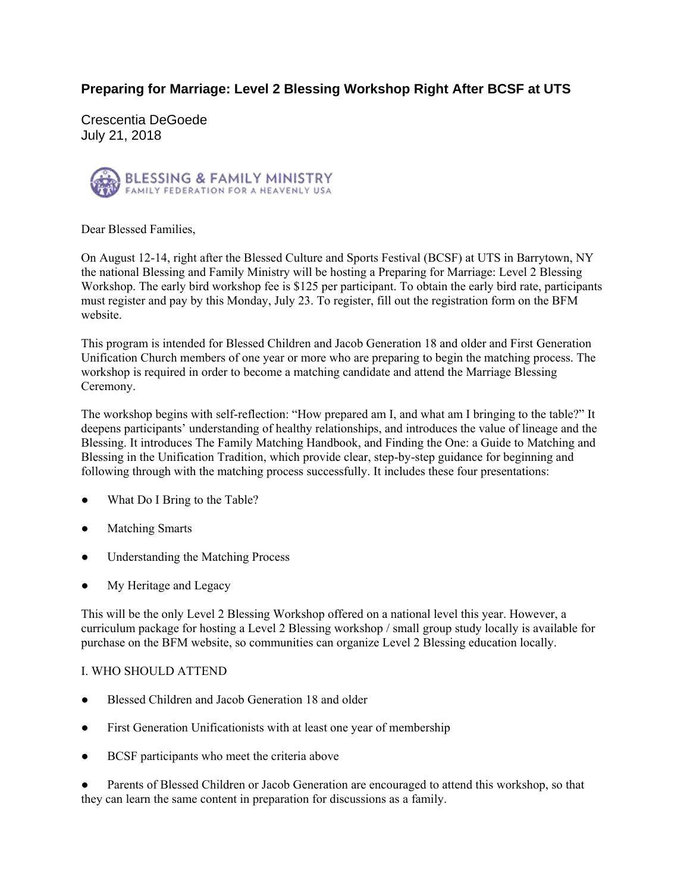# **Preparing for Marriage: Level 2 Blessing Workshop Right After BCSF at UTS**

Crescentia DeGoede July 21, 2018



Dear Blessed Families,

On August 12-14, right after the Blessed Culture and Sports Festival (BCSF) at UTS in Barrytown, NY the national Blessing and Family Ministry will be hosting a Preparing for Marriage: Level 2 Blessing Workshop. The early bird workshop fee is \$125 per participant. To obtain the early bird rate, participants must register and pay by this Monday, July 23. To register, fill out the registration form on the BFM website.

This program is intended for Blessed Children and Jacob Generation 18 and older and First Generation Unification Church members of one year or more who are preparing to begin the matching process. The workshop is required in order to become a matching candidate and attend the Marriage Blessing Ceremony.

The workshop begins with self-reflection: "How prepared am I, and what am I bringing to the table?" It deepens participants' understanding of healthy relationships, and introduces the value of lineage and the Blessing. It introduces The Family Matching Handbook, and Finding the One: a Guide to Matching and Blessing in the Unification Tradition, which provide clear, step-by-step guidance for beginning and following through with the matching process successfully. It includes these four presentations:

- What Do I Bring to the Table?
- Matching Smarts
- Understanding the Matching Process
- My Heritage and Legacy

This will be the only Level 2 Blessing Workshop offered on a national level this year. However, a curriculum package for hosting a Level 2 Blessing workshop / small group study locally is available for purchase on the BFM website, so communities can organize Level 2 Blessing education locally.

## I. WHO SHOULD ATTEND

- Blessed Children and Jacob Generation 18 and older
- First Generation Unificationists with at least one year of membership
- BCSF participants who meet the criteria above

Parents of Blessed Children or Jacob Generation are encouraged to attend this workshop, so that they can learn the same content in preparation for discussions as a family.